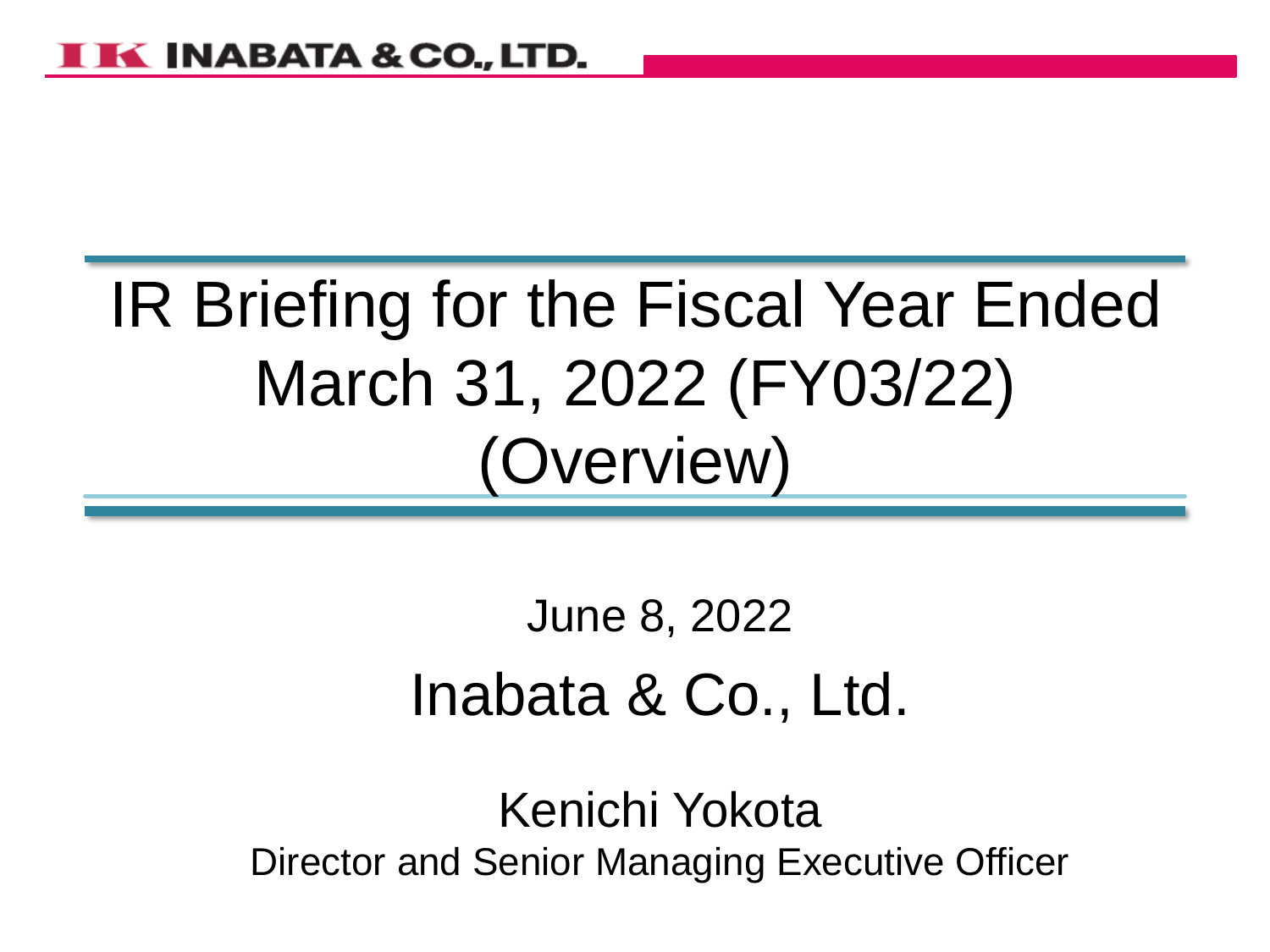# IR Briefing for the Fiscal Year Ended March 31, 2022 (FY03/22) (Overview)

# June 8, 2022 Inabata & Co., Ltd.

Kenichi Yokota Director and Senior Managing Executive Officer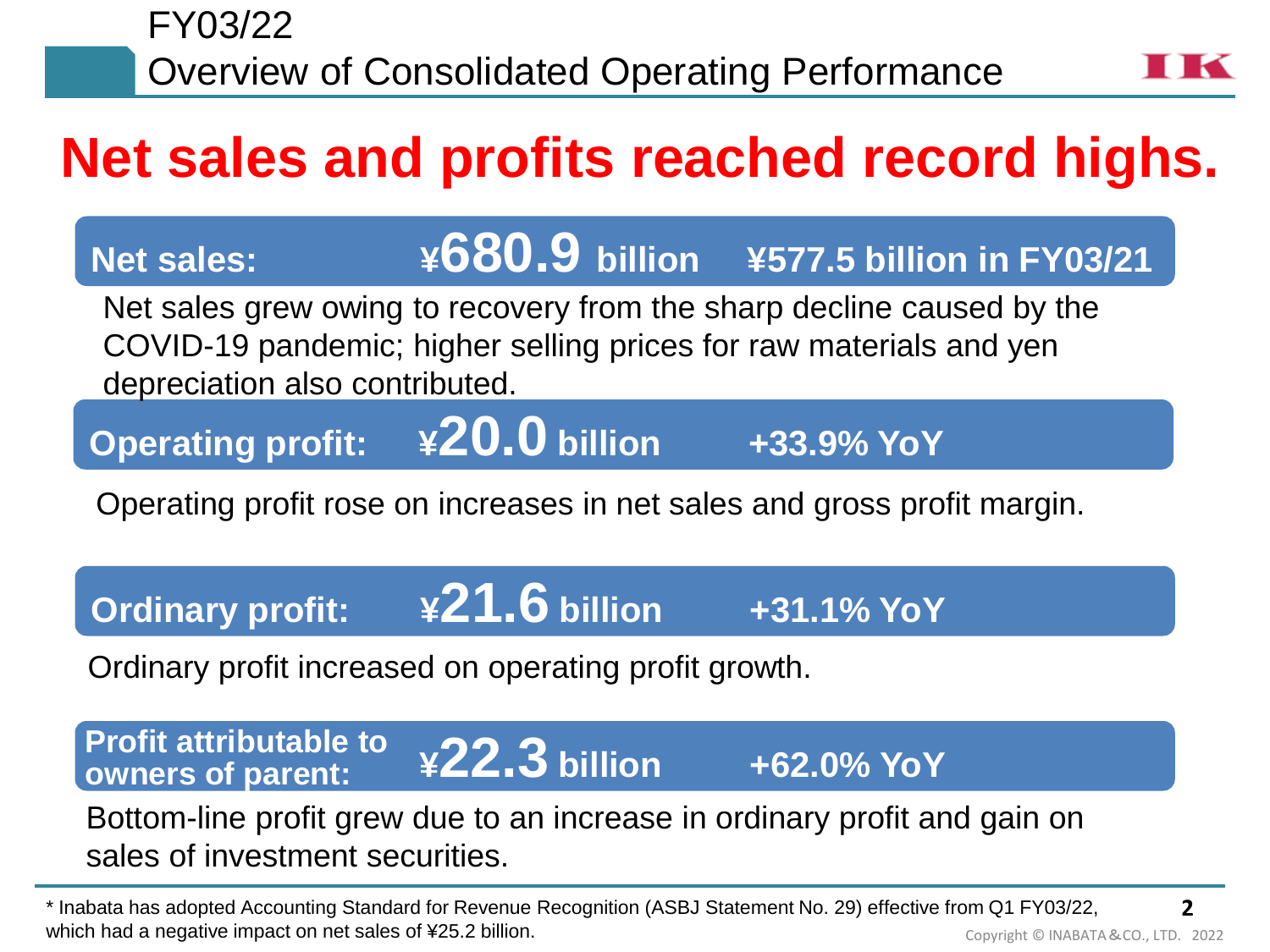# **Net sales and profits reached record highs.**

# **Net sales: ¥680.9 billion ¥577.5 billion in FY03/21**

Net sales grew owing to recovery from the sharp decline caused by the COVID-19 pandemic; higher selling prices for raw materials and yen depreciation also contributed.

**Operating profit: ¥20.0 billion +33.9% YoY**

Operating profit rose on increases in net sales and gross profit margin.

**Ordinary profit: ¥21.6 billion +31.1% YoY**

Ordinary profit increased on operating profit growth.

**Profit attributable to** UIII dul INU **¥22.3 billion +62.0% YoY Profit attributable to owners of parent:**

Bottom-line profit grew due to an increase in ordinary profit and gain on sales of investment securities.

**2** Copyright © INABATA&CO., LTD. 2022 \* Inabata has adopted Accounting Standard for Revenue Recognition (ASBJ Statement No. 29) effective from Q1 FY03/22, which had a negative impact on net sales of ¥25.2 billion.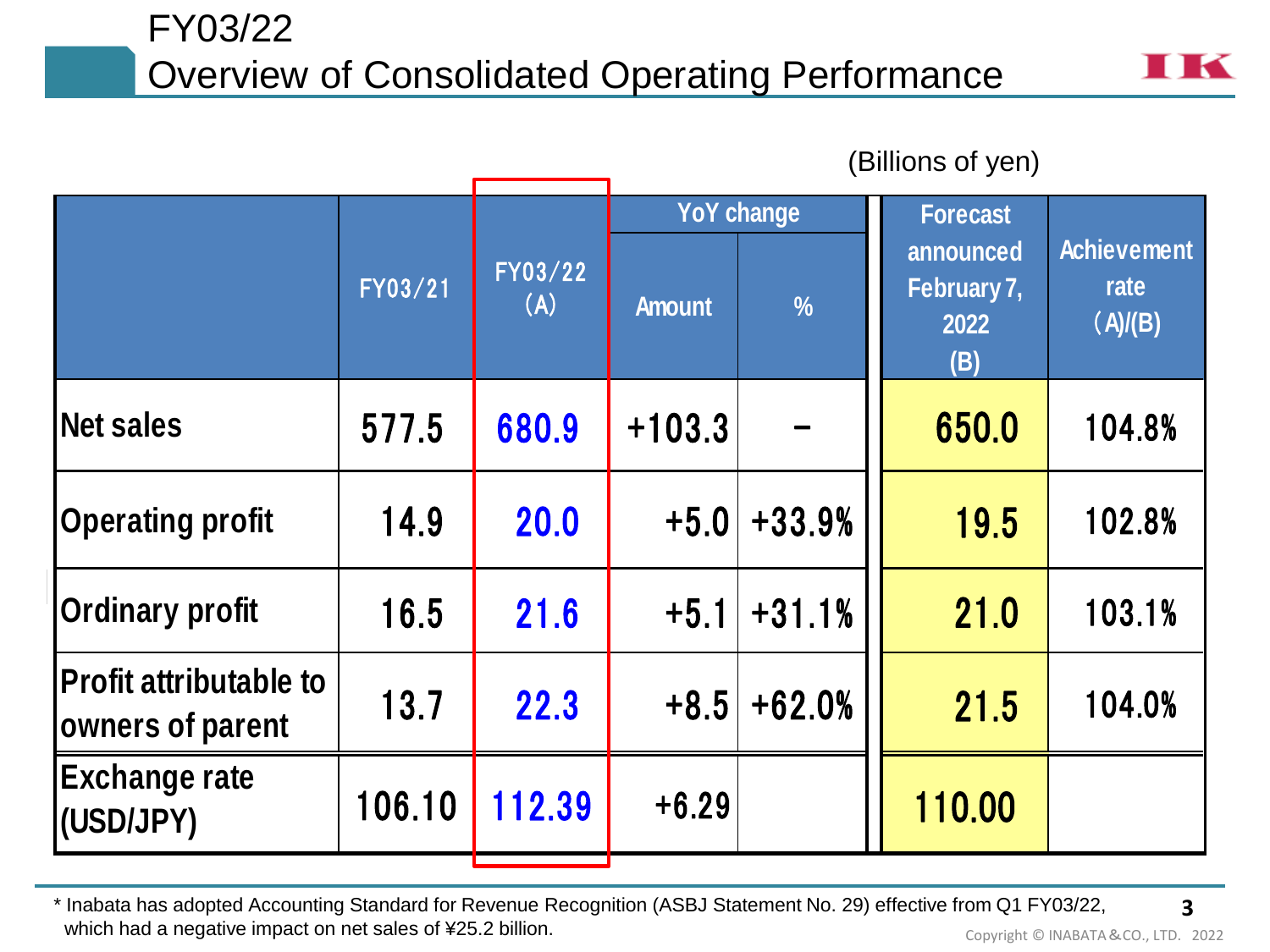# FY03/22 Overview of Consolidated Operating Performance



|                                                   |         | (Billions of yen) |               |                   |                                         |                                       |
|---------------------------------------------------|---------|-------------------|---------------|-------------------|-----------------------------------------|---------------------------------------|
|                                                   |         | FY03/22<br>(A)    |               | <b>YoY change</b> | <b>Forecast</b>                         |                                       |
|                                                   | FY03/21 |                   | <b>Amount</b> | $\frac{9}{6}$     | announced<br>February 7,<br>2022<br>(B) | <b>Achievement</b><br>rate<br>(A)/(B) |
| Net sales                                         | 577.5   | 680.9             | $+103.3$      |                   | 650.0                                   | 104.8%                                |
| <b>Operating profit</b>                           | 14.9    | 20.0              | $+5.0$        | $+33.9%$          | 19.5                                    | 102.8%                                |
| <b>Ordinary profit</b>                            | 16.5    | 21.6              | $+5.1$        | $+31.1%$          | 21.0                                    | 103.1%                                |
| <b>Profit attributable to</b><br>owners of parent | 13.7    | 22.3              | $+8.5$        | $+62.0%$          | 21.5                                    | 104.0%                                |
| <b>Exchange rate</b><br>(USD/JPY)                 | 106.10  | 112.39            | $+6.29$       |                   | 110.00                                  |                                       |

**3** \* Inabata has adopted Accounting Standard for Revenue Recognition (ASBJ Statement No. 29) effective from Q1 FY03/22, which had a negative impact on net sales of ¥25.2 billion. Concerned Manuscript Copyright © INABATA&CO., LTD. 2022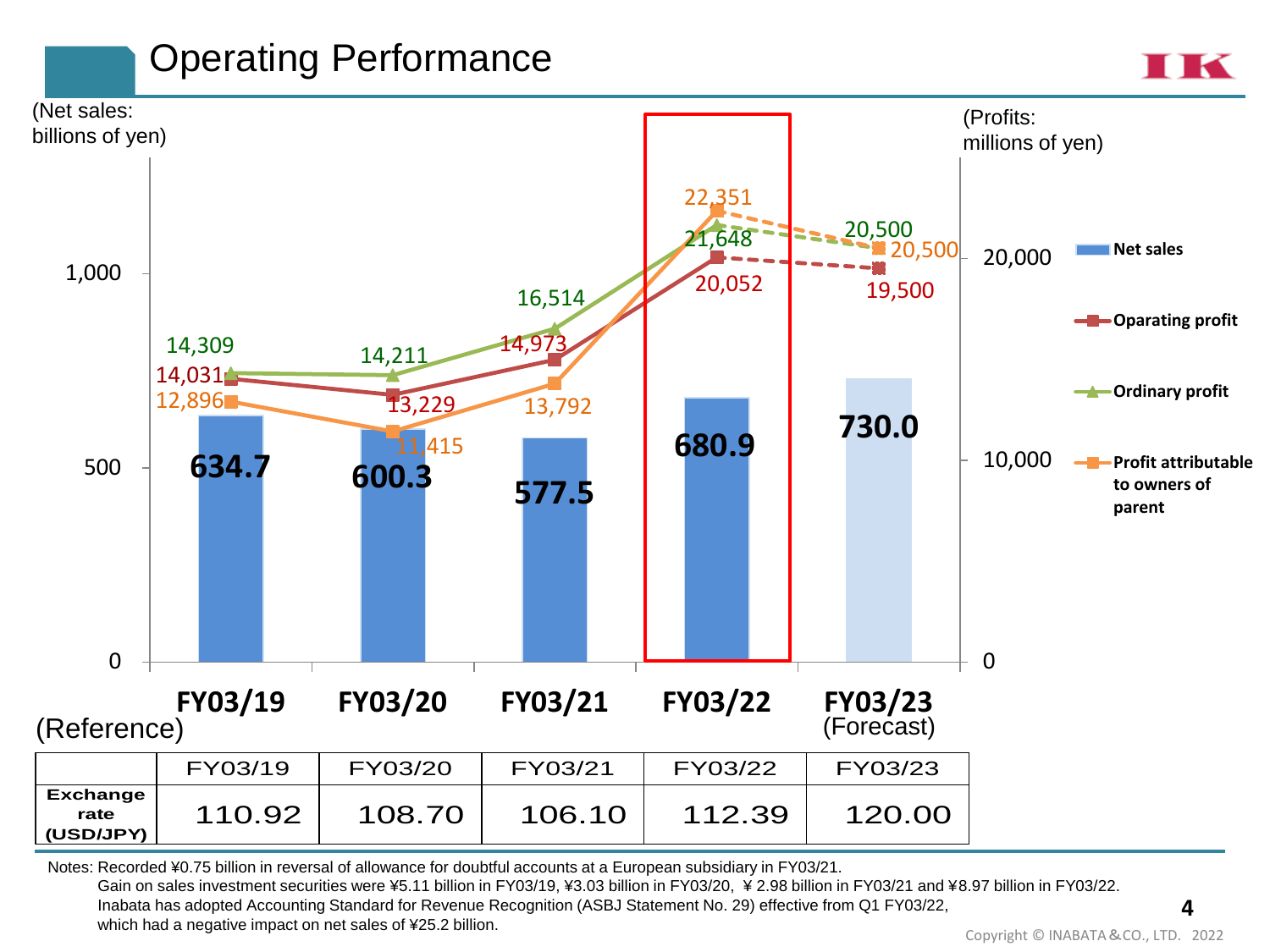# Operating Performance





Notes: Recorded ¥0.75 billion in reversal of allowance for doubtful accounts at a European subsidiary in FY03/21.

Gain on sales investment securities were ¥5.11 billion in FY03/19, ¥3.03 billion in FY03/20, ¥ 2.98 billion in FY03/21 and ¥8.97 billion in FY03/22. Inabata has adopted Accounting Standard for Revenue Recognition (ASBJ Statement No. 29) effective from Q1 FY03/22, which had a negative impact on net sales of ¥25.2 billion.

**4**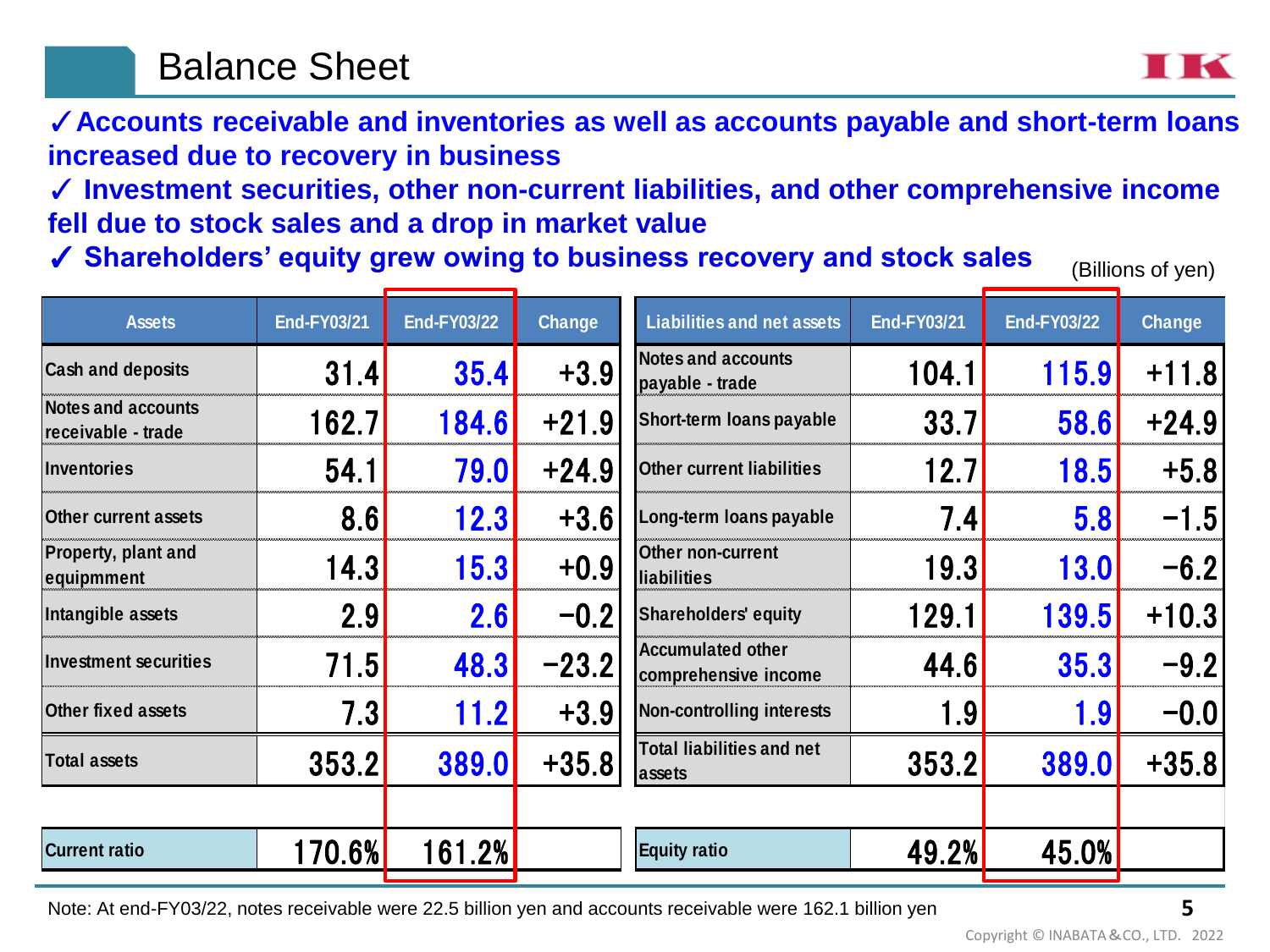## Balance Sheet

TIK

✓**Accounts receivable and inventories as well as accounts payable and short-term loans increased due to recovery in business**

✓ **Investment securities, other non-current liabilities, and other comprehensive income fell due to stock sales and a drop in market value**

✓ **Shareholders' equity grew owing to business recovery and stock sales**

(Billions of yen)

| <b>Assets</b>                                   | <b>End-FY03/21</b> | <b>End-FY03/22</b> | <b>Change</b> | <b>Liabilities and net assets</b>                | <b>End-FY03/21</b> | <b>End-FY03/22</b> | Change  |
|-------------------------------------------------|--------------------|--------------------|---------------|--------------------------------------------------|--------------------|--------------------|---------|
| <b>Cash and deposits</b>                        | 31.4               | 35.4               | $+3.9$        | <b>Notes and accounts</b><br>payable - trade     | 104.1              | 115.9              | $+11.8$ |
| <b>Notes and accounts</b><br>receivable - trade | 162.7              | 184.6              | $+21.9$       | Short-term loans payable                         | 33.7               | 58.6               | $+24.9$ |
| <b>Inventories</b>                              | 54.1               | 79.0               | $+24.9$       | <b>Other current liabilities</b>                 | 12.7               | 18.5               | $+5.8$  |
| <b>Other current assets</b>                     | 8.6                | 12.3               | $+3.6$        | Long-term loans payable                          | 7.4                | 5.8                | $-1.5$  |
| <b>Property, plant and</b><br>equipmment        | 14.3               | 15.3               | $+0.9$        | <b>Other non-current</b><br>liabilities          | 19.3               | 13.0               | $-6.2$  |
| Intangible assets                               | 2.9                | 2.6                | $-0.2$        | Shareholders' equity                             | 129.1              | 139.5              | $+10.3$ |
| <b>Investment securities</b>                    | 71.5               | 48.3               | $-23.2$       | <b>Accumulated other</b><br>comprehensive income | 44.6               | 35.3               | $-9.2$  |
| Other fixed assets                              | 7.3                | 11.2               | $+3.9$        | Non-controlling interests                        | 1.9                | 1.9                | $-0.0$  |
| <b>Total assets</b>                             | 353.2              | 389.0              | $+35.8$       | <b>Total liabilities and net</b><br>assets       | 353.2              | 389.0              | $+35.8$ |
|                                                 |                    |                    |               |                                                  |                    |                    |         |
| <b>Current ratio</b>                            | 170.6%             | 161.2%             |               | <b>Equity ratio</b>                              | 49.2%              | 45.0%              |         |

Note: At end-FY03/22, notes receivable were 22.5 billion yen and accounts receivable were 162.1 billion yen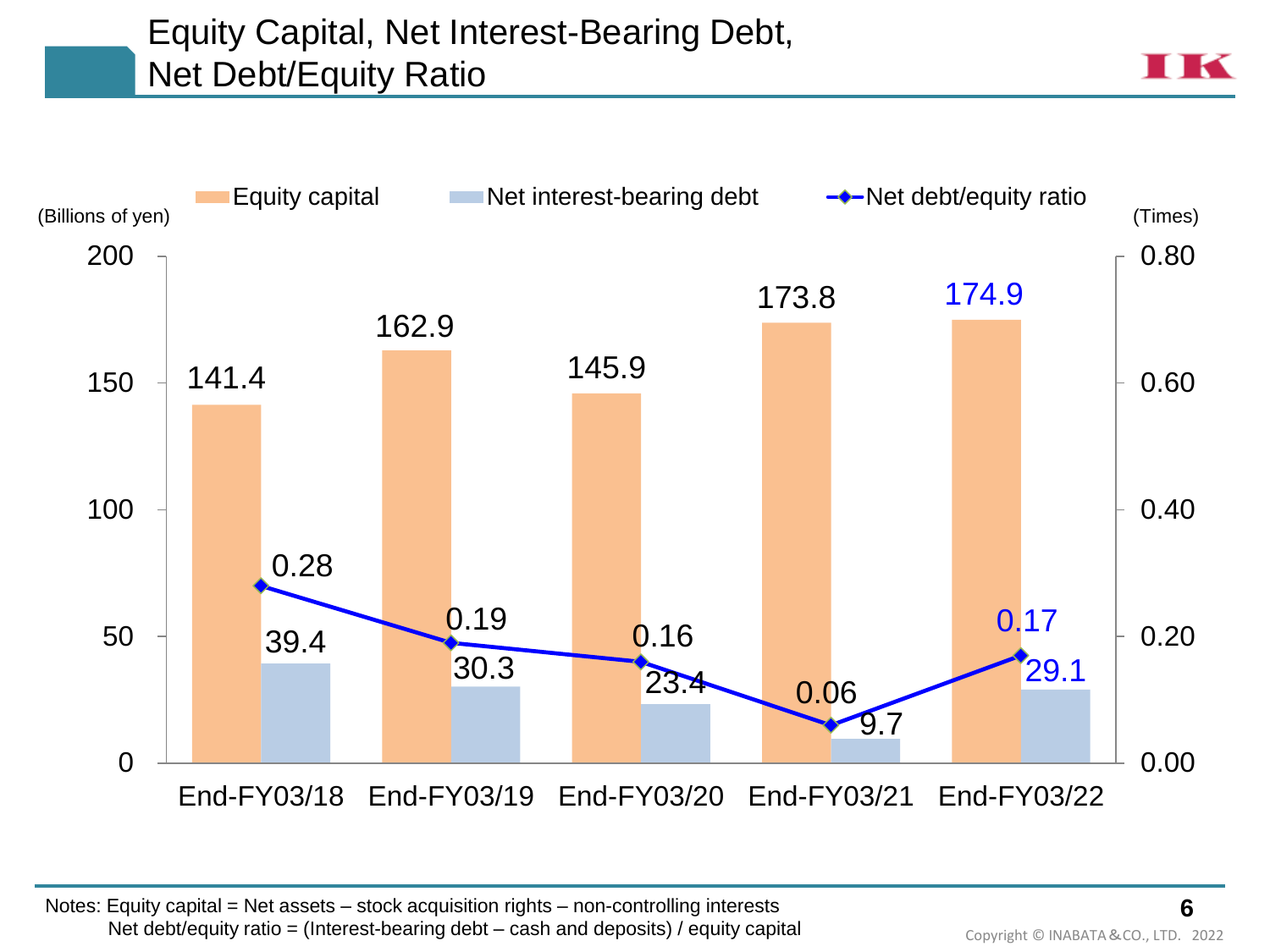### Equity Capital, Net Interest-Bearing Debt, Net Debt/Equity Ratio

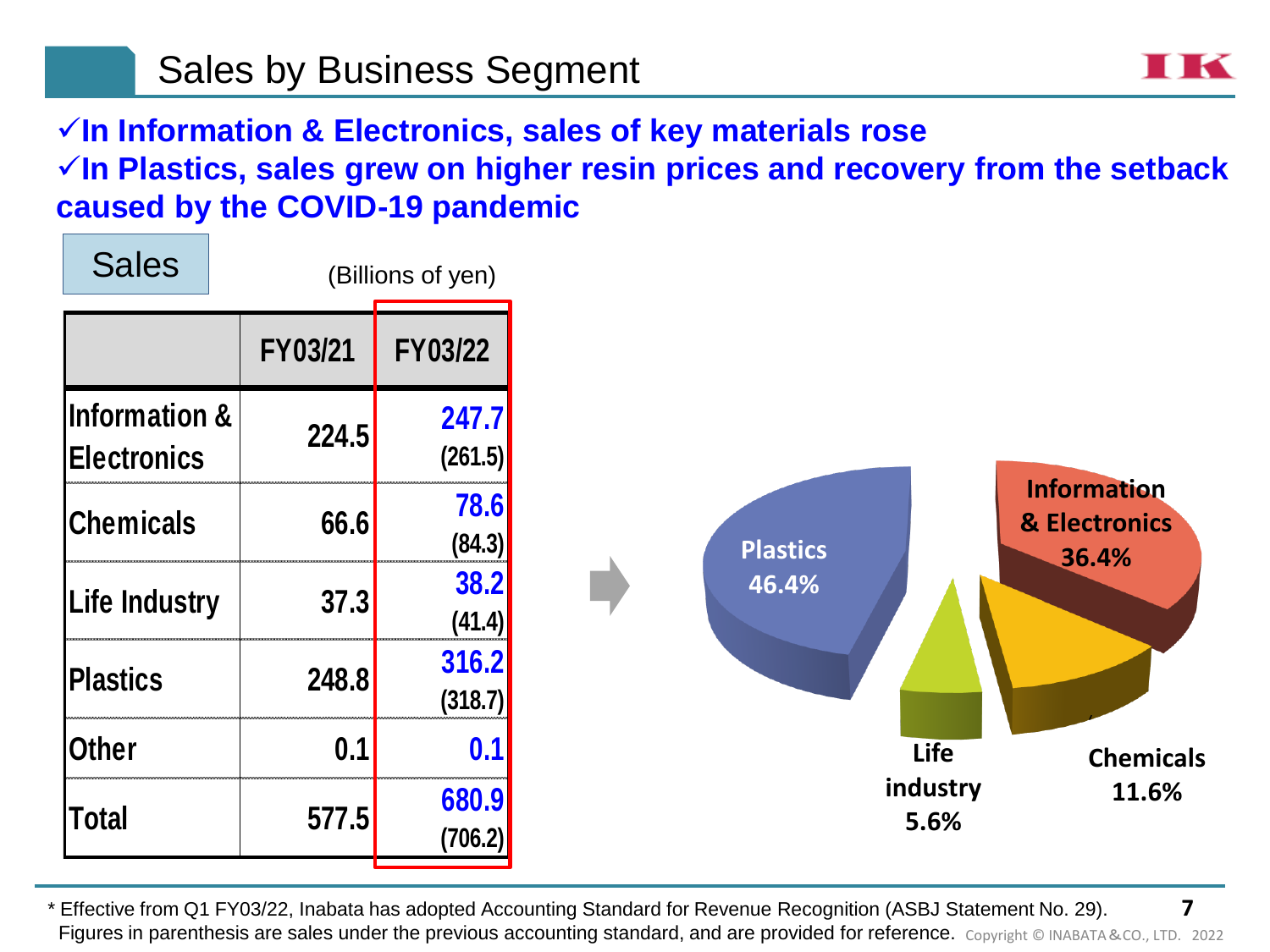✓**In Information & Electronics, sales of key materials rose** ✓**In Plastics, sales grew on higher resin prices and recovery from the setback** 

**caused by the COVID-19 pandemic**



**7** \* Effective from Q1 FY03/22, Inabata has adopted Accounting Standard for Revenue Recognition (ASBJ Statement No. 29). Figures in parenthesis are sales under the previous accounting standard, and are provided for reference. Copyright © INABATA&CO., LTD. 2022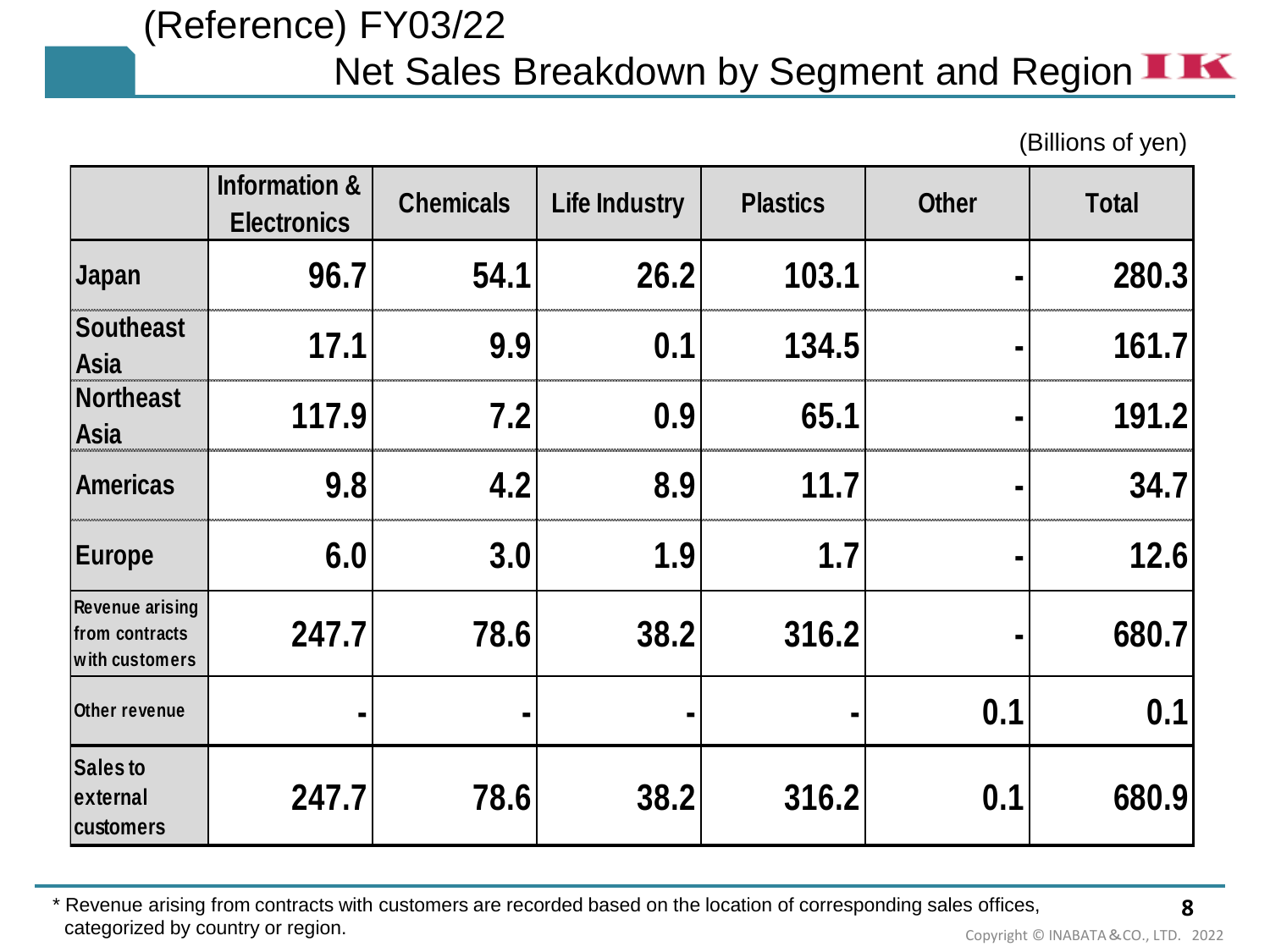# (Reference) FY03/22 Net Sales Breakdown by Segment and Region  $\blacksquare$

(Billions of yen)

|                                                            | <b>Information &amp;</b><br><b>Electronics</b> | <b>Chemicals</b> | <b>Life Industry</b> | <b>Plastics</b> | <b>Other</b>   | <b>Total</b> |
|------------------------------------------------------------|------------------------------------------------|------------------|----------------------|-----------------|----------------|--------------|
| Japan                                                      | 96.7                                           | 54.1             | 26.2                 | 103.1           |                | 280.3        |
| <b>Southeast</b><br><b>Asia</b>                            | 17.1                                           | 9.9              | 0.1                  | 134.5           |                | 161.7        |
| <b>Northeast</b><br>Asia                                   | 117.9                                          | 7.2              | 0.9                  | 65.1            |                | 191.2        |
| <b>Americas</b>                                            | 9.8                                            | 4.2              | 8.9                  | 11.7            |                | 34.7         |
| <b>Europe</b>                                              | 6.0                                            | 3.0              | 1.9                  | 1.7             |                | 12.6         |
| <b>Revenue arising</b><br>from contracts<br>with customers | 247.7                                          | 78.6             | 38.2                 | 316.2           | $\blacksquare$ | 680.7        |
| Other revenue                                              |                                                |                  |                      |                 | 0.1            | 0.1          |
| <b>Sales to</b><br>external<br><b>customers</b>            | 247.7                                          | 78.6             | 38.2                 | 316.2           | 0.1            | 680.9        |

\* Revenue arising from contracts with customers are recorded based on the location of corresponding sales offices, **Categorized by country or region.** Copyright © INABATA & CO., LTD. 2022

**8**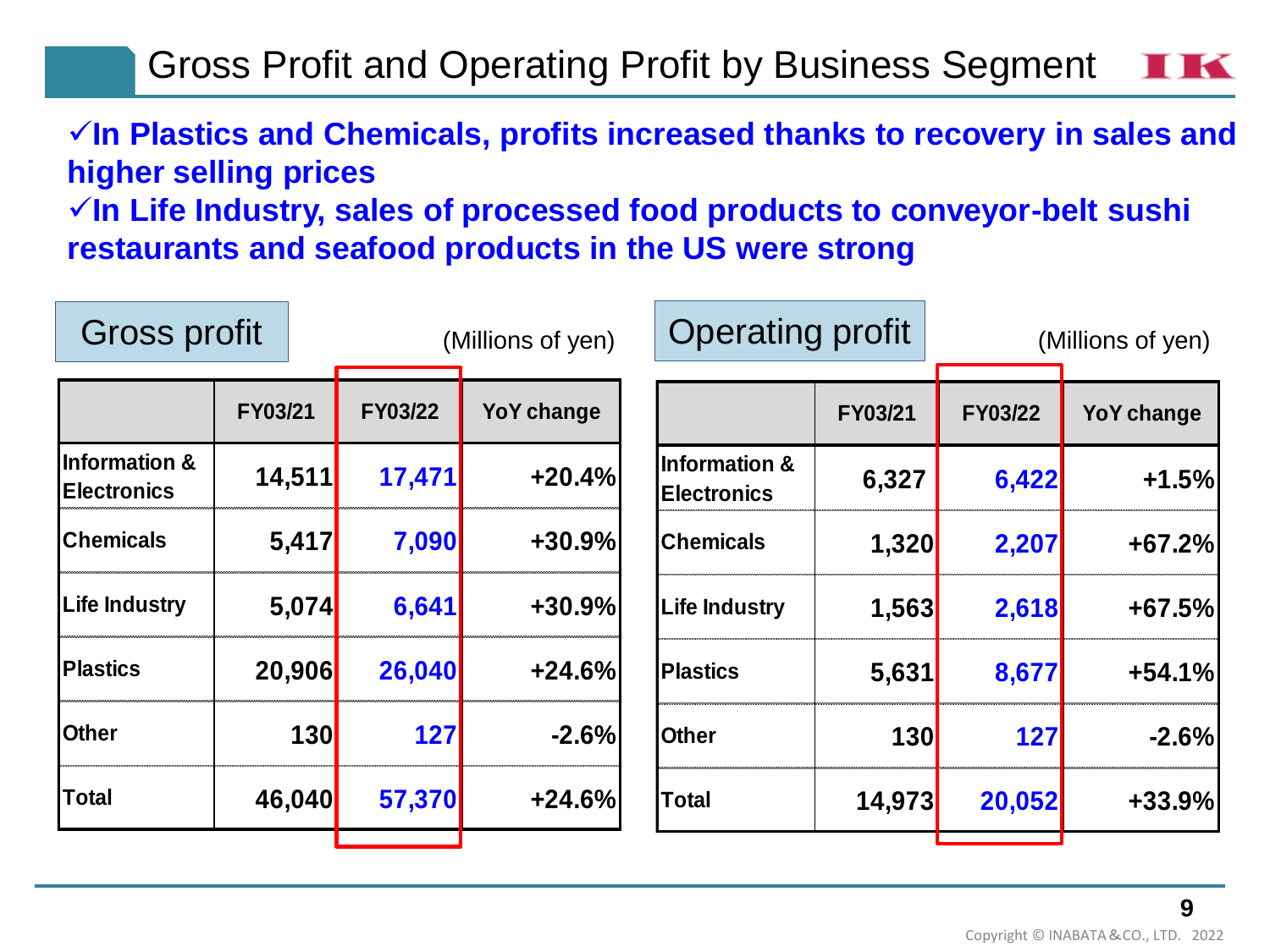Gross Profit and Operating Profit by Business Segment

### ✓**In Plastics and Chemicals, profits increased thanks to recovery in sales and higher selling prices**

✓**In Life Industry, sales of processed food products to conveyor-belt sushi restaurants and seafood products in the US were strong**

| Gross profit                                   |            |         | (Millions of yen) |                                                | <b>Operating profit</b> |                | (Millions of yen) |  |  |
|------------------------------------------------|------------|---------|-------------------|------------------------------------------------|-------------------------|----------------|-------------------|--|--|
|                                                | FY03/21    | FY03/22 | YoY change        |                                                | FY03/21                 | <b>FY03/22</b> | YoY change        |  |  |
| <b>Information &amp;</b><br><b>Electronics</b> | 14,511     | 17,471  | $+20.4%$          | <b>Information &amp;</b><br><b>Electronics</b> | 6,327                   | 6,422          | $+1.5%$           |  |  |
| <b>Chemicals</b>                               | 5,417      | 7,090   | $+30.9%$          | <b>Chemicals</b>                               | 1,320                   | 2,207          | $+67.2%$          |  |  |
| <b>Life Industry</b>                           | 5,074      | 6,641   | $+30.9%$          | <b>Life Industry</b>                           | 1,563                   | 2,618          | +67.5%            |  |  |
| <b>Plastics</b>                                | 20,906     | 26,040  | $+24.6%$          | <b>Plastics</b>                                | 5,631                   | 8,677          | $+54.1%$          |  |  |
| <b>Other</b>                                   | <b>130</b> | 127     | $-2.6%$           | <b>Other</b>                                   | 130                     | 127            | $-2.6%$           |  |  |
| <b>Total</b>                                   | 46,040     | 57,370  | $+24.6%$          | <b>Total</b>                                   | 14,973                  | 20,052         | $+33.9%$          |  |  |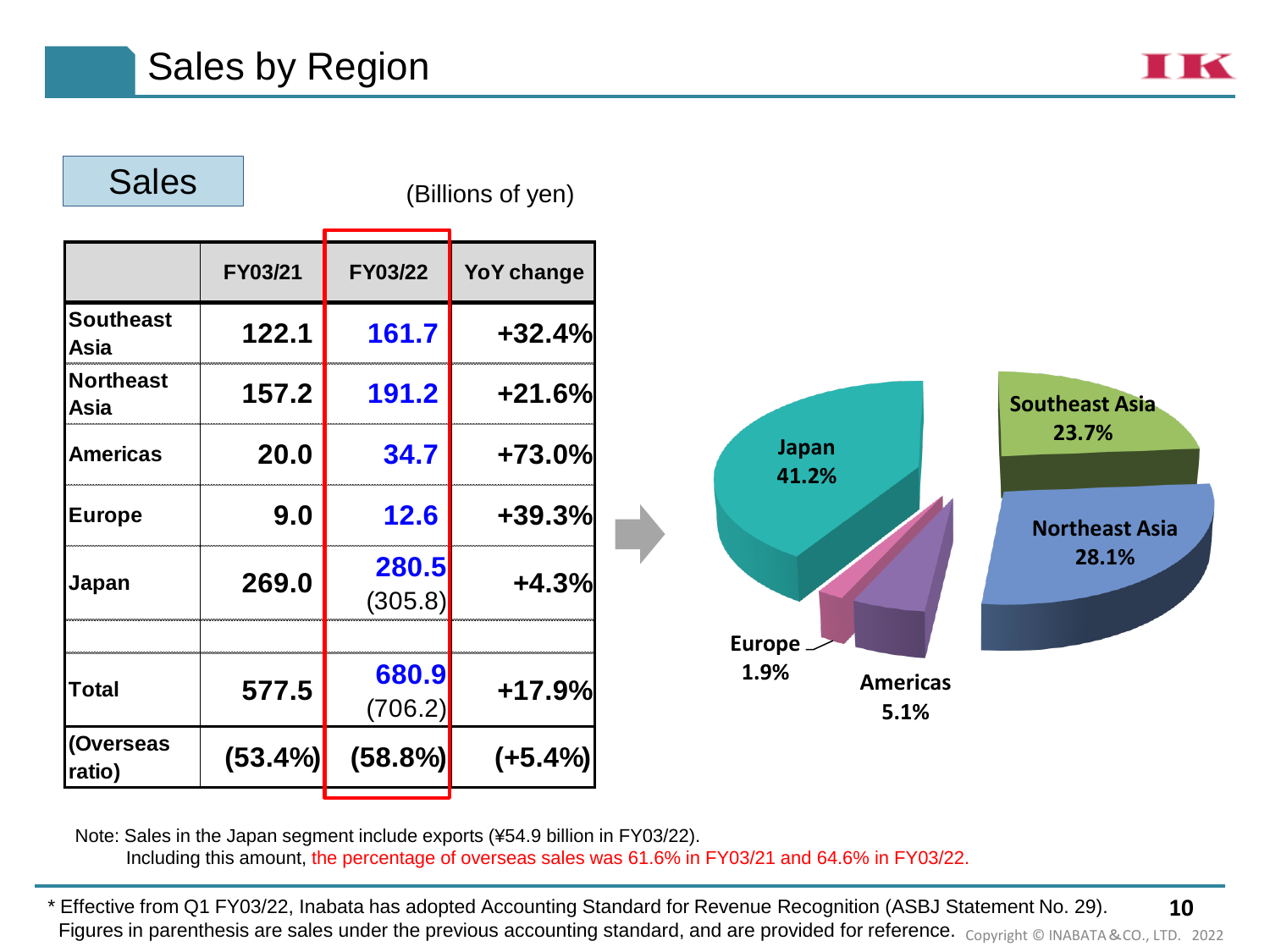

Note: Sales in the Japan segment include exports (¥54.9 billion in FY03/22). Including this amount, the percentage of overseas sales was 61.6% in FY03/21 and 64.6% in FY03/22.

**10** \* Effective from Q1 FY03/22, Inabata has adopted Accounting Standard for Revenue Recognition (ASBJ Statement No. 29). Figures in parenthesis are sales under the previous accounting standard, and are provided for reference. Copyright © INABATA&CO., LTD. 2022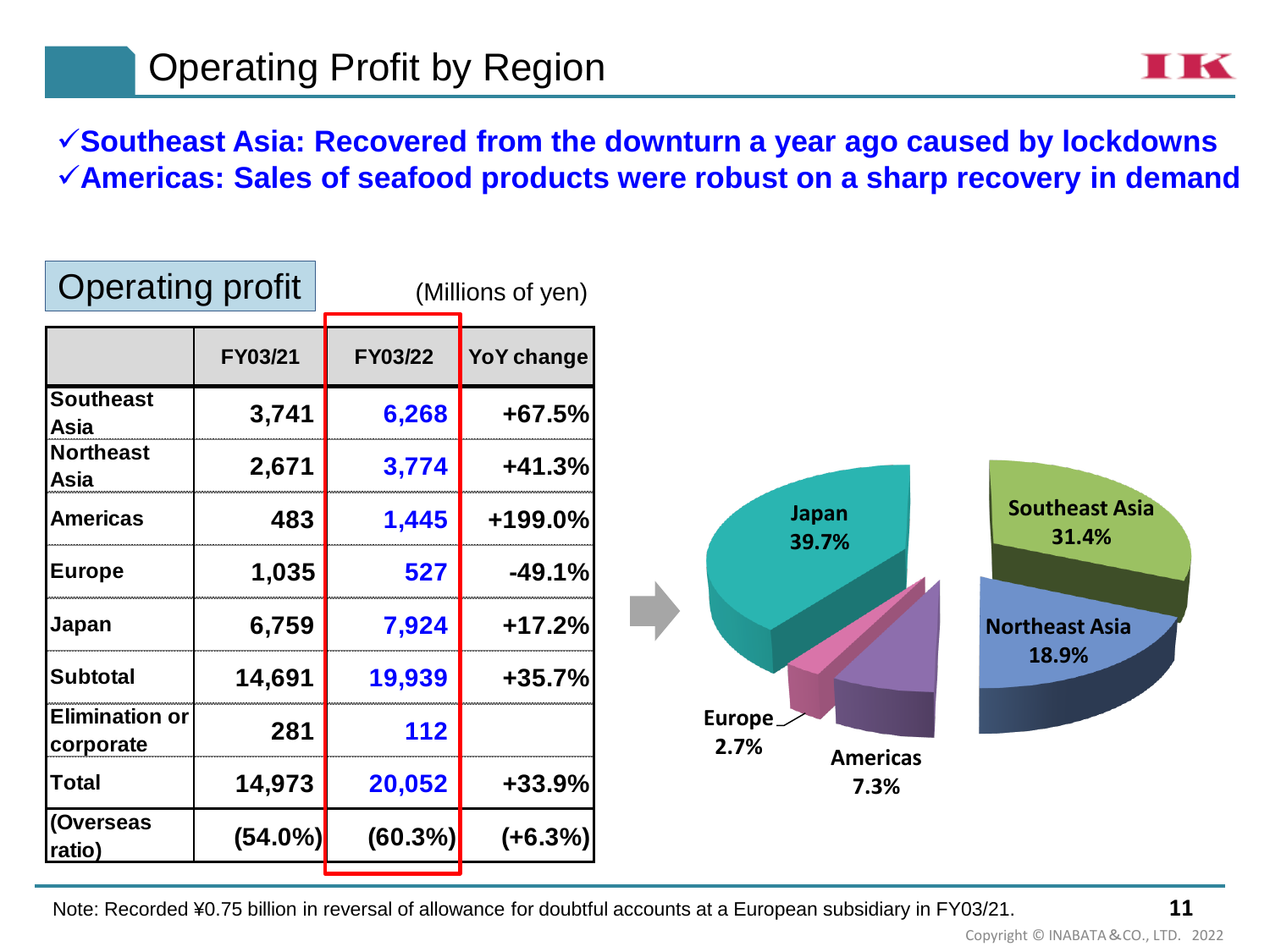✓**Southeast Asia: Recovered from the downturn a year ago caused by lockdowns** ✓**Americas: Sales of seafood products were robust on a sharp recovery in demand**

| <b>Operating profit</b>            |            |            | (Millions of yen) |                       |                 |                                |
|------------------------------------|------------|------------|-------------------|-----------------------|-----------------|--------------------------------|
|                                    | FY03/21    | FY03/22    | YoY change        |                       |                 |                                |
| <b>Southeast</b><br>Asia           | 3,741      | 6,268      | $+67.5%$          |                       |                 |                                |
| <b>Northeast</b><br>Asia           | 2,671      | 3,774      | $+41.3%$          |                       |                 |                                |
| <b>Americas</b>                    | 483        | 1,445      | +199.0%           | <b>Japan</b><br>39.7% |                 | <b>Southeast Asia</b><br>31.4% |
| <b>Europe</b>                      | 1,035      | 527        | $-49.1%$          |                       |                 |                                |
| Japan                              | 6,759      | 7,924      | $+17.2%$          |                       |                 | <b>Northeast Asia</b>          |
| <b>Subtotal</b>                    | 14,691     | 19,939     | $+35.7%$          |                       |                 | 18.9%                          |
| <b>Elimination or</b><br>corporate | 281        | 112        |                   | Europe_<br>2.7%       | <b>Americas</b> |                                |
| Total                              | 14,973     | 20,052     | $+33.9%$          |                       | 7.3%            |                                |
| (Overseas<br>ratio)                | $(54.0\%)$ | $(60.3\%)$ | $(+6.3%)$         |                       |                 |                                |

Note: Recorded ¥0.75 billion in reversal of allowance for doubtful accounts at a European subsidiary in FY03/21.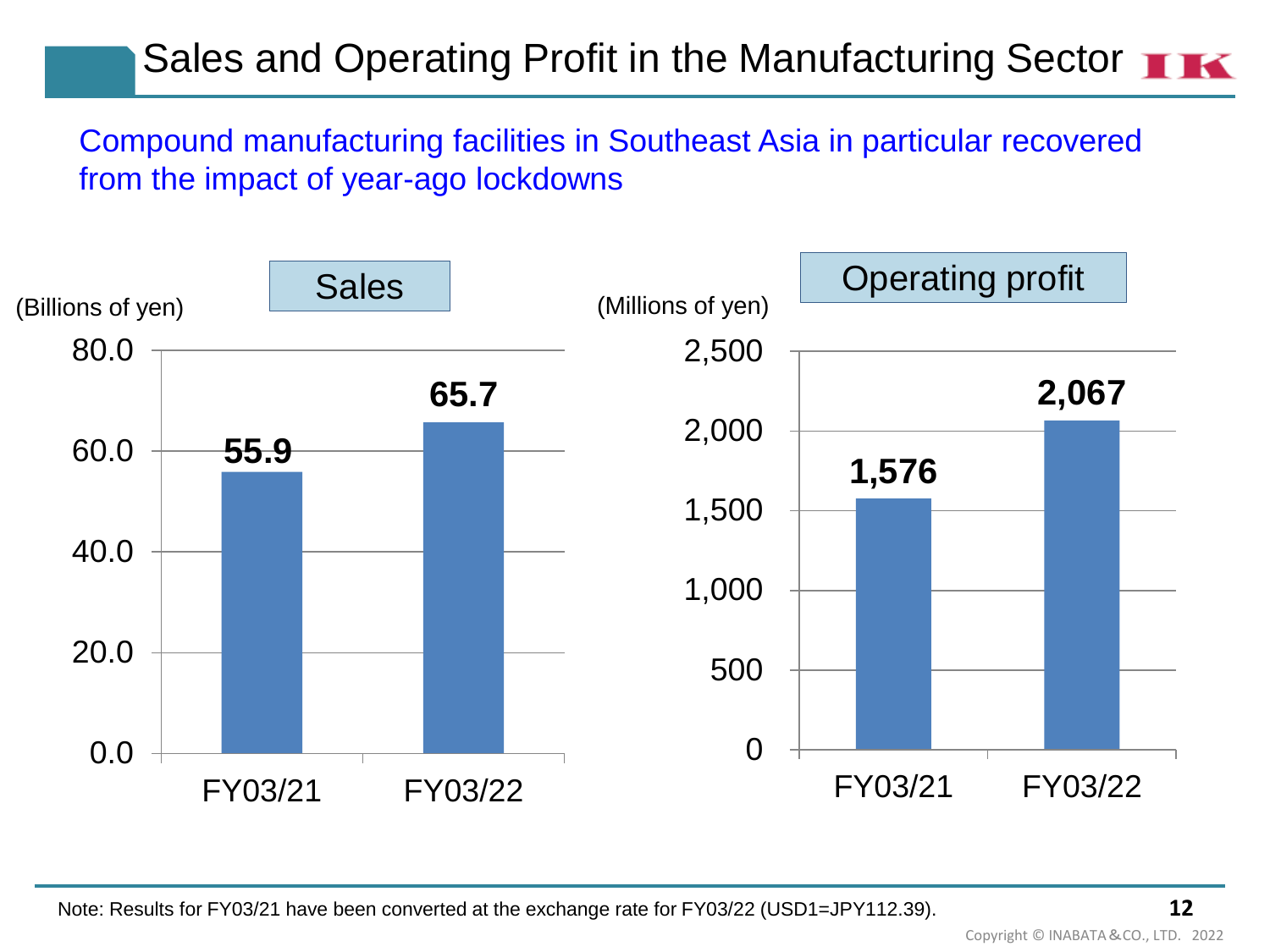# Sales and Operating Profit in the Manufacturing Sector **THE**

Compound manufacturing facilities in Southeast Asia in particular recovered from the impact of year-ago lockdowns



Copyright © INABATA&CO., LTD. 2022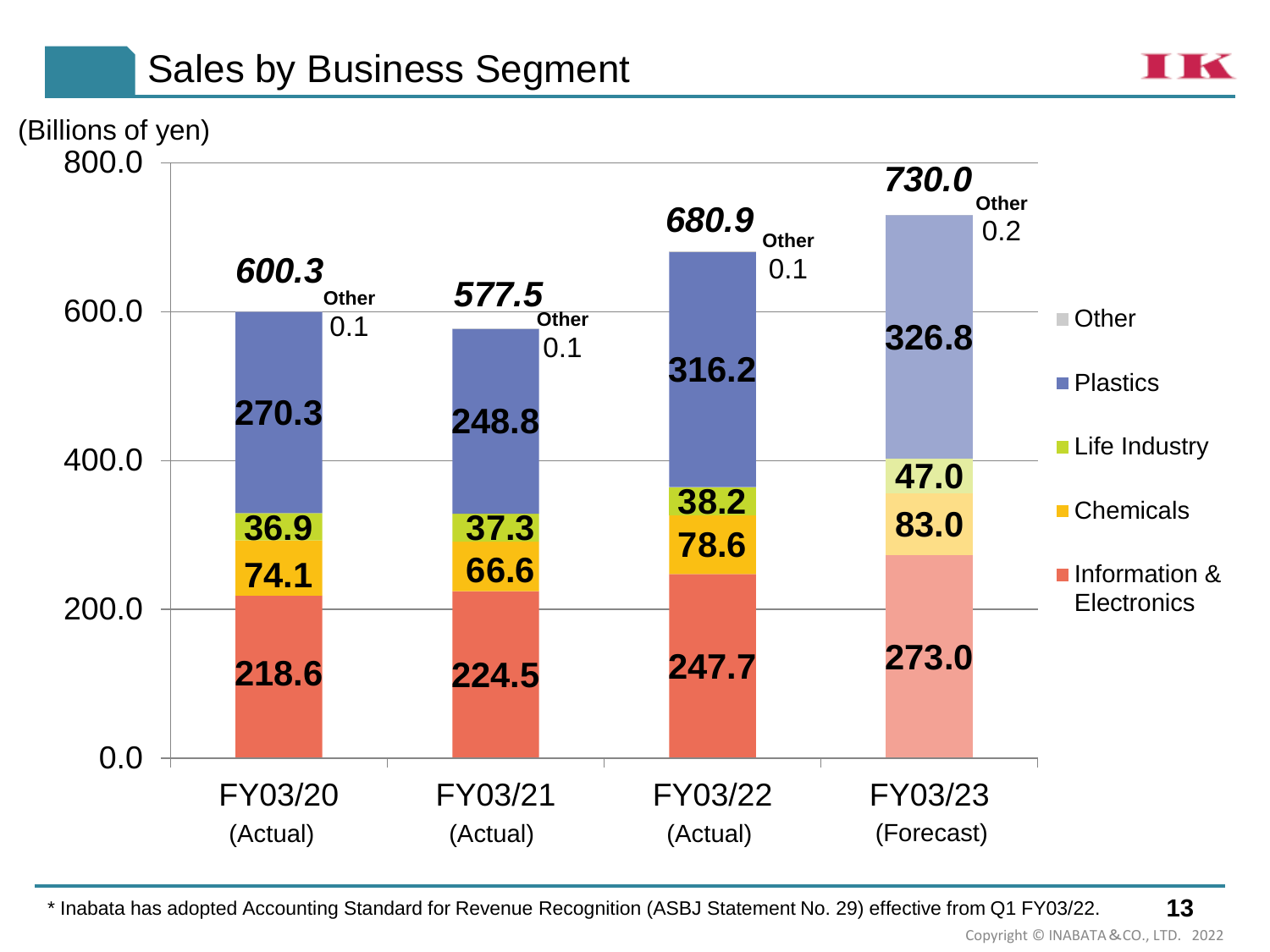# Sales by Business Segment





**13** \* Inabata has adopted Accounting Standard for Revenue Recognition (ASBJ Statement No. 29) effective from Q1 FY03/22.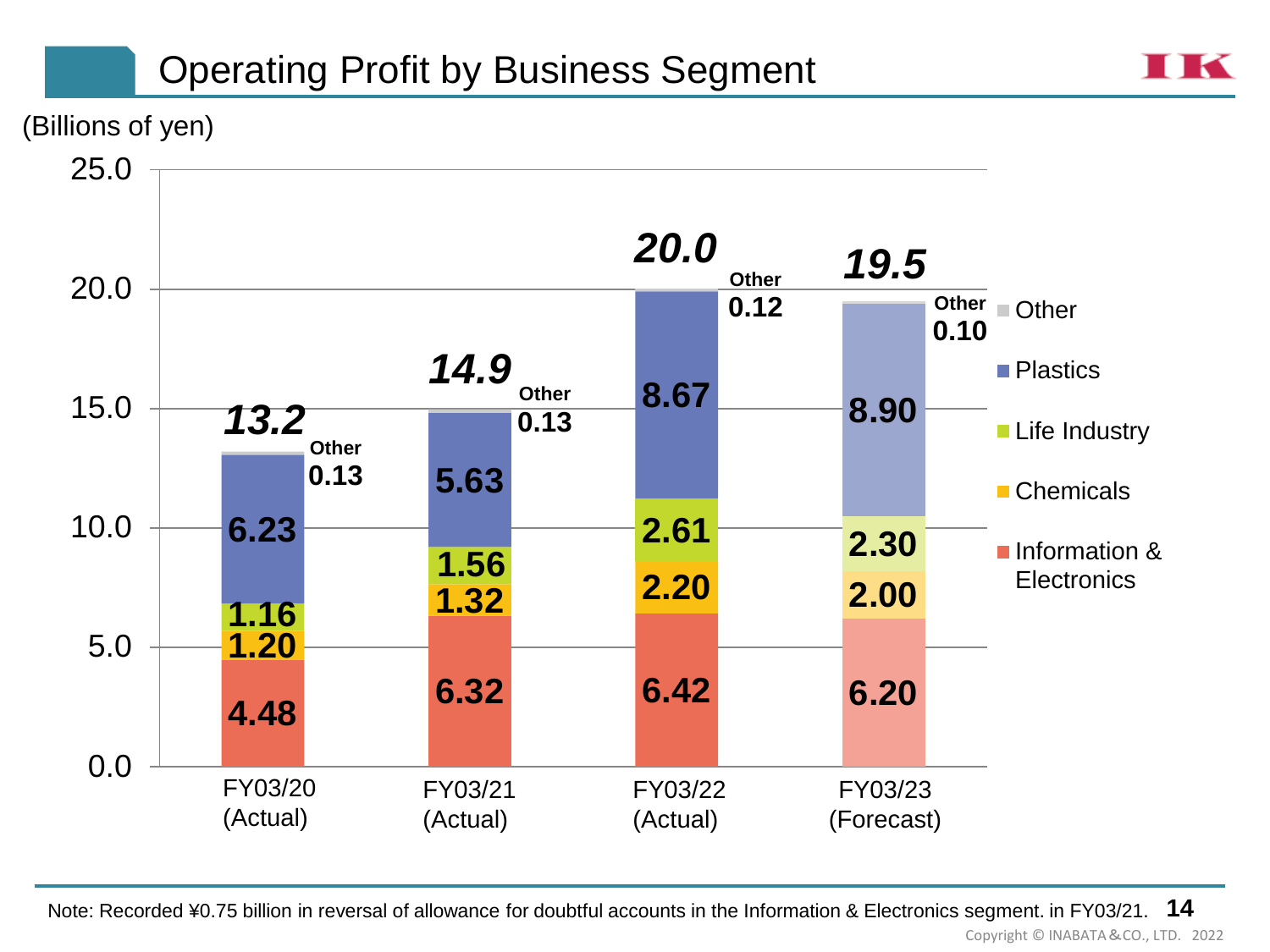# Operating Profit by Business Segment



(Billions of yen)



Note: Recorded ¥0.75 billion in reversal of allowance for doubtful accounts in the Information & Electronics segment. in FY03/21. **14** Copyright © INABATA&CO., LTD. 2022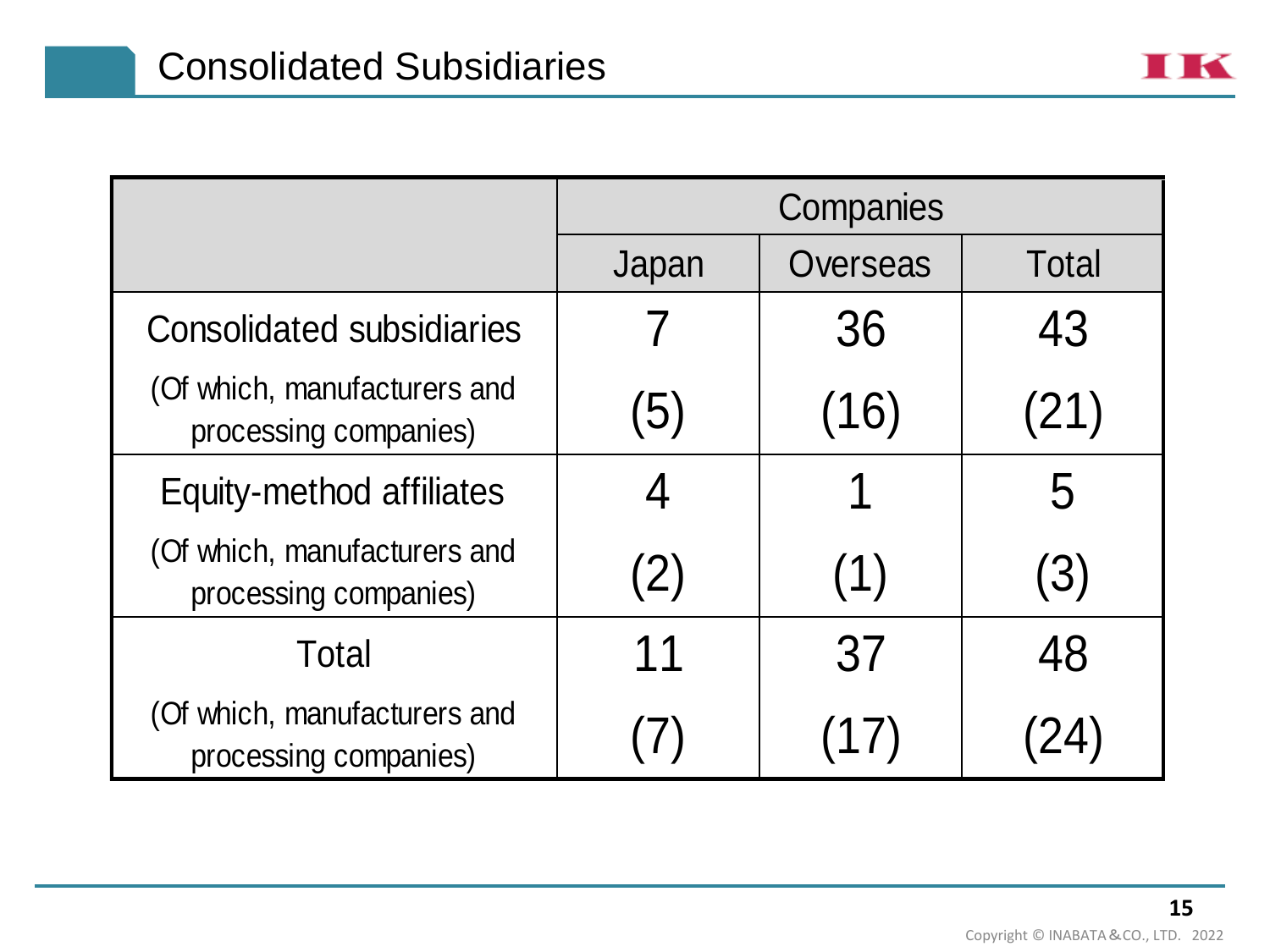|                                                       | Companies |          |              |  |  |
|-------------------------------------------------------|-----------|----------|--------------|--|--|
|                                                       | Japan     | Overseas | <b>Total</b> |  |  |
| <b>Consolidated subsidiaries</b>                      |           | 36       | 43           |  |  |
| (Of which, manufacturers and<br>processing companies) | (5)       | (16)     | (21)         |  |  |
| Equity-method affiliates                              |           |          | 5            |  |  |
| (Of which, manufacturers and<br>processing companies) | (2)       | (1)      | (3)          |  |  |
| Total                                                 | 11        | 37       | 48           |  |  |
| (Of which, manufacturers and<br>processing companies) |           | (17)     |              |  |  |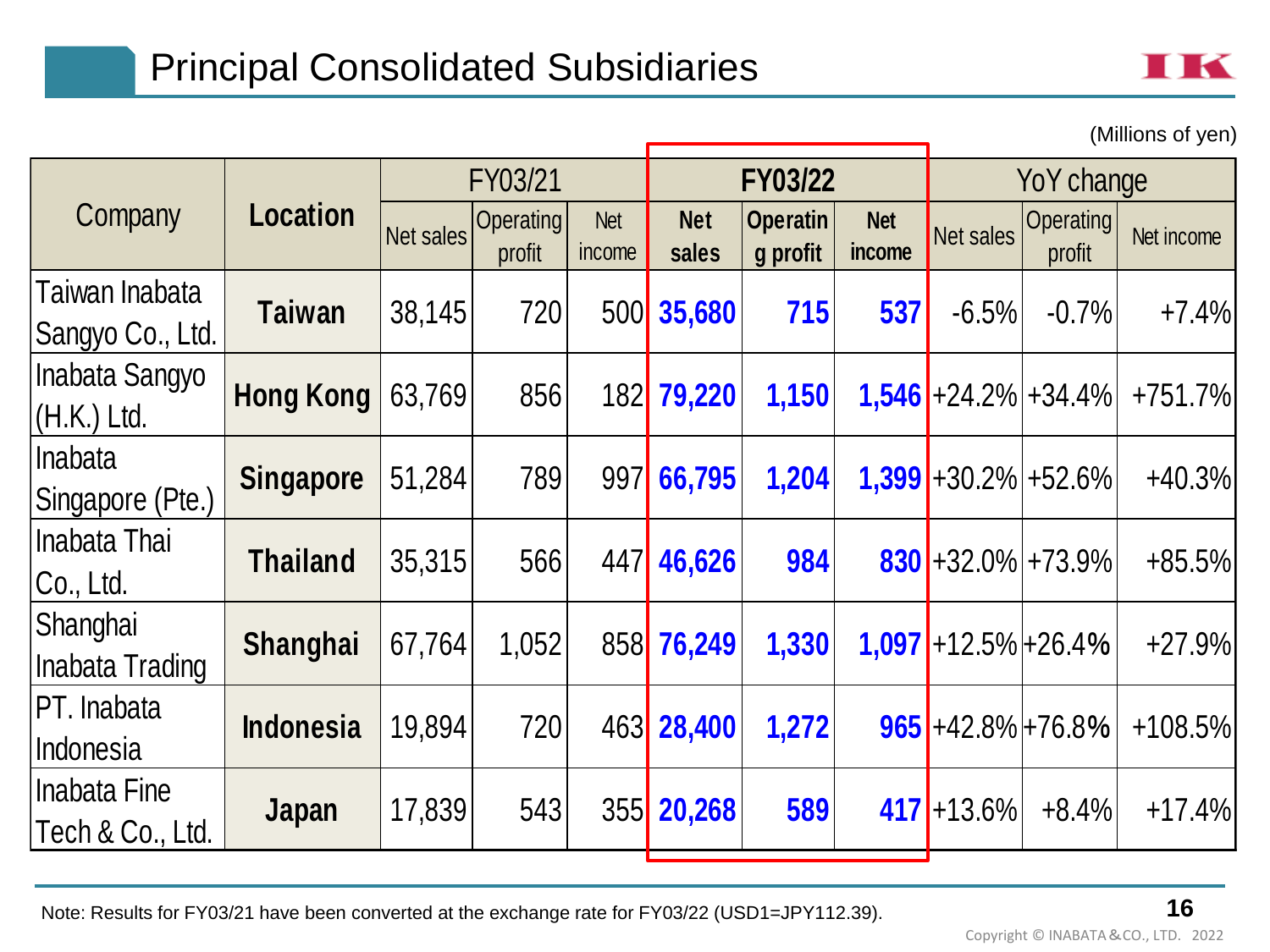

(Millions of yen)

Net sales Operating profit Net income **Net sales Operatin g profit Net Net** Net sales Operating Net income Taiwan Inabata Sangyo Co., Ltd. **Taiwan** 38,145 <sup>720</sup> <sup>500</sup> **35,680 <sup>715</sup> <sup>537</sup>** -6.5% -0.7% +7.4% Inabata Sangyo (H.K.) Ltd. **Hong Kong** 63,769 <sup>856</sup> <sup>182</sup> **79,220 1,150 1,546** +24.2% +34.4% +751.7% Inabata Singapore (Pte.) **Singapore** 51,284 <sup>789</sup> <sup>997</sup> **66,795 1,204 1,399** +30.2% +52.6% +40.3% Inabata Thai Co., Ltd. **Thailand** 35,315 <sup>566</sup> <sup>447</sup> **46,626 <sup>984</sup> <sup>830</sup>** +32.0% +73.9% +85.5% **Shanghai** Inabata Trading **Shanghai** 67,764 1,052 <sup>858</sup> **76,249 1,330 1,097** +12.5% +26.4% +27.9% PT. Inabata Indonesia **Indonesia** 19,894 <sup>720</sup> <sup>463</sup> **28,400 1,272 <sup>965</sup>** +42.8% +76.8% +108.5% Inabata Fine Tech & Co., Ltd. **Japan** 17,839 <sup>543</sup> <sup>355</sup> **20,268 <sup>589</sup> <sup>417</sup>** +13.6% +8.4% +17.4% FY03/21 **FY03/22** YoY change Company **Location**

Note: Results for FY03/21 have been converted at the exchange rate for FY03/22 (USD1=JPY112.39).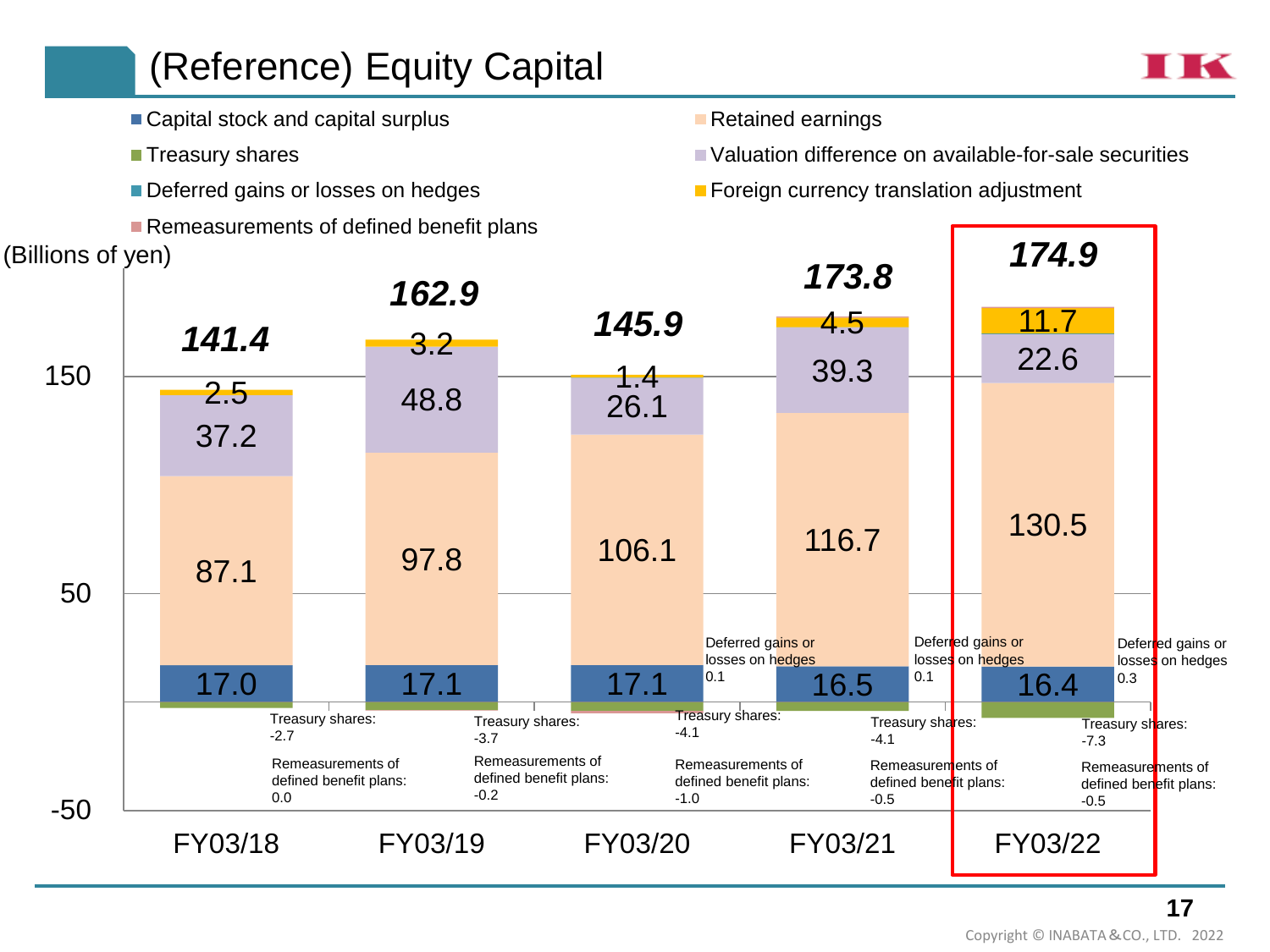# (Reference) Equity Capital

- Capital stock and capital surplus Retained earnings
- 
- 
- Remeasurements of defined benefit plans
- 
- Treasury shares and the valuation difference on available-for-sale securities
- Deferred gains or losses on hedges Foreign currency translation adjustment



 $\blacksquare$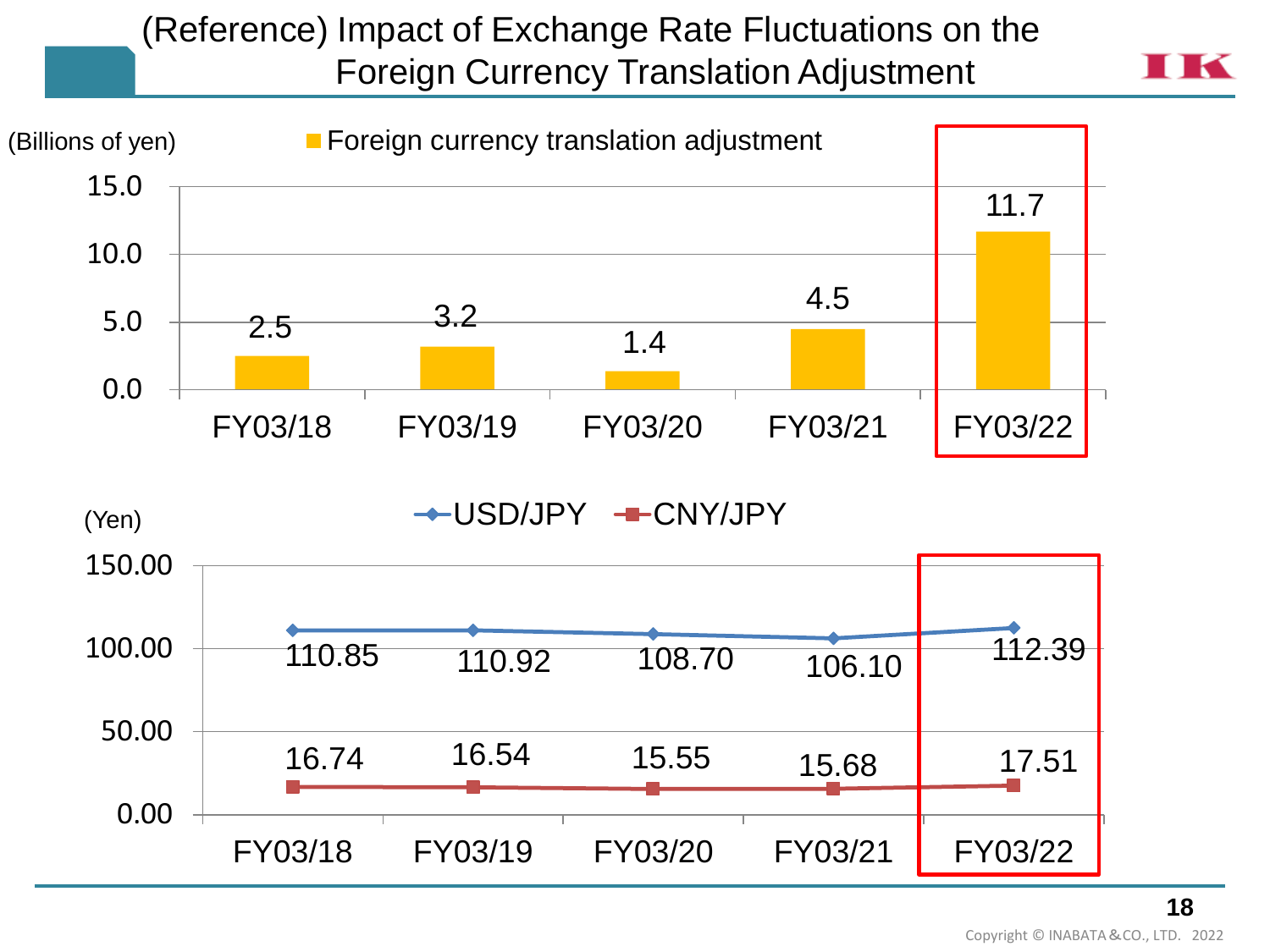### (Reference) Impact of Exchange Rate Fluctuations on the Foreign Currency Translation Adjustment

**TK**